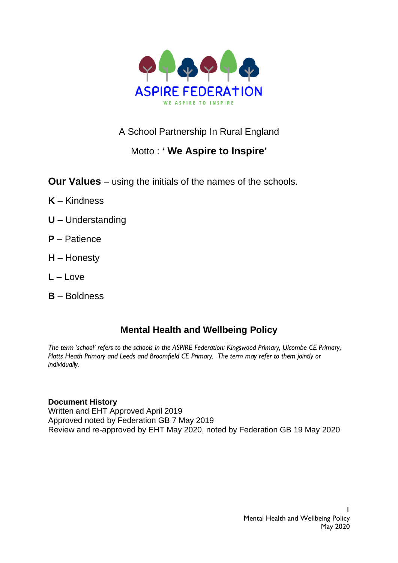

A School Partnership In Rural England

# Motto : **' We Aspire to Inspire'**

**Our Values** – using the initials of the names of the schools.

- **K** Kindness
- **U** Understanding
- **P** Patience
- **H** Honesty
- $L L$ ove
- **B** Boldness

## **Mental Health and Wellbeing Policy**

*The term 'school' refers to the schools in the ASPIRE Federation: Kingswood Primary, Ulcombe CE Primary, Platts Heath Primary and Leeds and Broomfield CE Primary. The term may refer to them jointly or individually.*

#### **Document History**

Written and EHT Approved April 2019 Approved noted by Federation GB 7 May 2019 Review and re-approved by EHT May 2020, noted by Federation GB 19 May 2020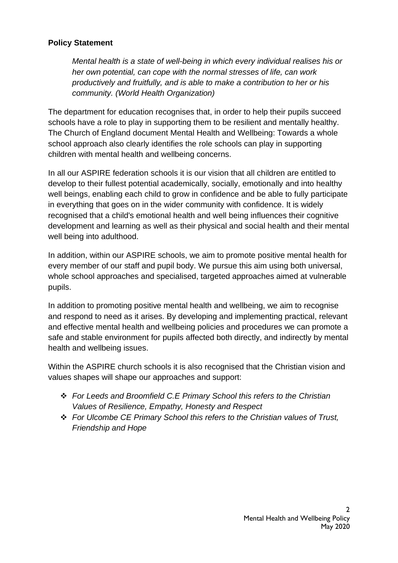## **Policy Statement**

productively and fruitfully, and is able to make a contribution to her or his *Mental health is a state of well-being in which every individual realises his or her own potential, can cope with the normal stresses of life, can work community. (World Health Organization)* 

The department for education recognises that, in order to help their pupils succeed schools have a role to play in supporting them to be resilient and mentally healthy. The Church of England document Mental Health and Wellbeing: Towards a whole school approach also clearly identifies the role schools can play in supporting children with mental health and wellbeing concerns.

In all our ASPIRE federation schools it is our vision that all children are entitled to develop to their fullest potential academically, socially, emotionally and into healthy well beings, enabling each child to grow in confidence and be able to fully participate in everything that goes on in the wider community with confidence. It is widely recognised that a child's emotional health and well being influences their cognitive development and learning as well as their physical and social health and their mental well being into adulthood.

In addition, within our ASPIRE schools, we aim to promote positive mental health for every member of our staff and pupil body. We pursue this aim using both universal, whole school approaches and specialised, targeted approaches aimed at vulnerable pupils.

In addition to promoting positive mental health and wellbeing, we aim to recognise and respond to need as it arises. By developing and implementing practical, relevant and effective mental health and wellbeing policies and procedures we can promote a safe and stable environment for pupils affected both directly, and indirectly by mental health and wellbeing issues.

Within the ASPIRE church schools it is also recognised that the Christian vision and values shapes will shape our approaches and support:

- ❖ *For Leeds and Broomfield C.E Primary School this refers to the Christian Values of Resilience, Empathy, Honesty and Respect*
- ❖ *For Ulcombe CE Primary School this refers to the Christian values of Trust, Friendship and Hope*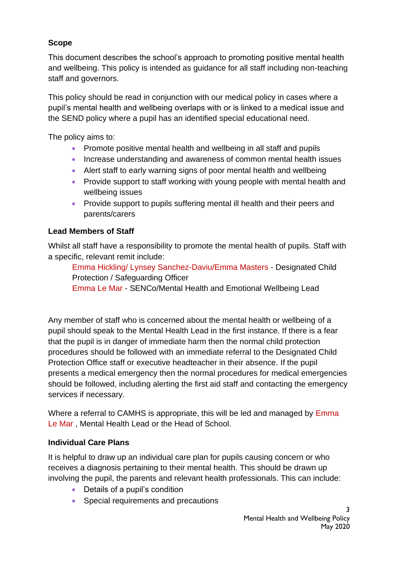## **Scope**

and wellbeing. This policy is intended as guidance for all staff including non-teaching This document describes the school's approach to promoting positive mental health staff and governors.

This policy should be read in conjunction with our medical policy in cases where a pupil's mental health and wellbeing overlaps with or is linked to a medical issue and the SEND policy where a pupil has an identified special educational need.

The policy aims to:

- Promote positive mental health and wellbeing in all staff and pupils
- Increase understanding and awareness of common mental health issues
- Alert staff to early warning signs of poor mental health and wellbeing
- Provide support to staff working with young people with mental health and wellbeing issues
- Provide support to pupils suffering mental ill health and their peers and parents/carers

## **Lead Members of Staff**

Whilst all staff have a responsibility to promote the mental health of pupils. Staff with a specific, relevant remit include:

Emma Hickling/ Lynsey Sanchez-Daviu/Emma Masters - Designated Child Protection / Safeguarding Officer

Emma Le Mar - SENCo/Mental Health and Emotional Wellbeing Lead

Any member of staff who is concerned about the mental health or wellbeing of a pupil should speak to the Mental Health Lead in the first instance. If there is a fear that the pupil is in danger of immediate harm then the normal child protection procedures should be followed with an immediate referral to the Designated Child Protection Office staff or executive headteacher in their absence. If the pupil presents a medical emergency then the normal procedures for medical emergencies should be followed, including alerting the first aid staff and contacting the emergency services if necessary.

Where a referral to CAMHS is appropriate, this will be led and managed by Emma Le Mar , Mental Health Lead or the Head of School.

## **Individual Care Plans**

It is helpful to draw up an individual care plan for pupils causing concern or who receives a diagnosis pertaining to their mental health. This should be drawn up involving the pupil, the parents and relevant health professionals. This can include:

- Details of a pupil's condition
- Special requirements and precautions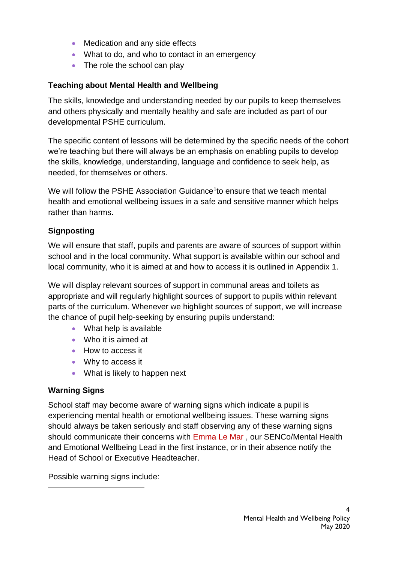- Medication and any side effects
- What to do, and who to contact in an emergency
- The role the school can play

## **Teaching about Mental Health and Wellbeing**

The skills, knowledge and understanding needed by our pupils to keep themselves and others physically and mentally healthy and safe are included as part of our developmental PSHE curriculum.

The specific content of lessons will be determined by the specific needs of the cohort we're teaching but there will always be an emphasis on enabling pupils to develop the skills, knowledge, understanding, language and confidence to seek help, as needed, for themselves or others.

We will follow the PSHE Association Guidance<sup>1</sup>to ensure that we teach mental health and emotional wellbeing issues in a safe and sensitive manner which helps rather than harms.

## **Signposting**

We will ensure that staff, pupils and parents are aware of sources of support within school and in the local community. What support is available within our school and local community, who it is aimed at and how to access it is outlined in Appendix 1.

We will display relevant sources of support in communal areas and toilets as appropriate and will regularly highlight sources of support to pupils within relevant parts of the curriculum. Whenever we highlight sources of support, we will increase the chance of pupil help-seeking by ensuring pupils understand:

- What help is available
- Who it is aimed at
- How to access it
- Why to access it
- What is likely to happen next

## **Warning Signs**

School staff may become aware of warning signs which indicate a pupil is experiencing mental health or emotional wellbeing issues. These warning signs should always be taken seriously and staff observing any of these warning signs should communicate their concerns with Emma Le Mar , our SENCo/Mental Health and Emotional Wellbeing Lead in the first instance, or in their absence notify the Head of School or Executive Headteacher.

Possible warning signs include: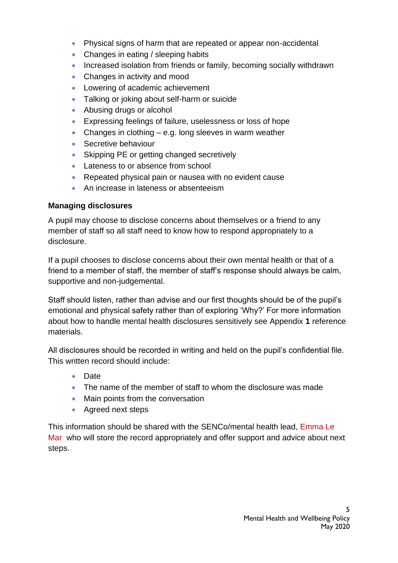- Physical signs of harm that are repeated or appear non-accidental
- Changes in eating / sleeping habits
- Increased isolation from friends or family, becoming socially withdrawn
- Changes in activity and mood
- Lowering of academic achievement
- Talking or joking about self-harm or suicide
- Abusing drugs or alcohol
- Expressing feelings of failure, uselessness or loss of hope
- Changes in clothing e.g. long sleeves in warm weather
- Secretive behaviour
- Skipping PE or getting changed secretively
- Lateness to or absence from school
- Repeated physical pain or nausea with no evident cause
- An increase in lateness or absenteeism

## **Managing disclosures**

A pupil may choose to disclose concerns about themselves or a friend to any member of staff so all staff need to know how to respond appropriately to a disclosure.

If a pupil chooses to disclose concerns about their own mental health or that of a friend to a member of staff, the member of staff's response should always be calm, supportive and non-judgemental.

Staff should listen, rather than advise and our first thoughts should be of the pupil's emotional and physical safety rather than of exploring 'Why?' For more information about how to handle mental health disclosures sensitively see Appendix **1** reference materials.

All disclosures should be recorded in writing and held on the pupil's confidential file. This written record should include:

- Date
- The name of the member of staff to whom the disclosure was made
- Main points from the conversation
- Agreed next steps

This information should be shared with the SENCo/mental health lead, Emma Le Mar who will store the record appropriately and offer support and advice about next steps.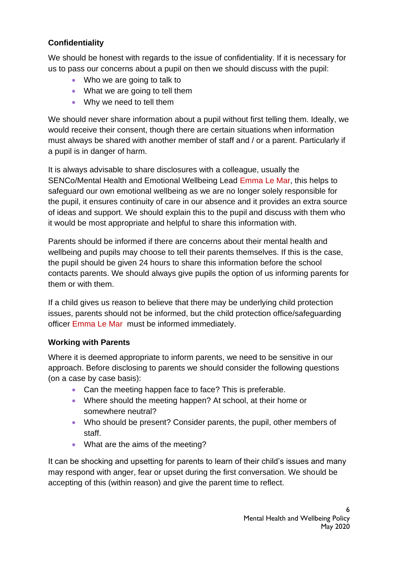## **Confidentiality**

us to pass our concerns about a pupil on then we should discuss with the pupil: We should be honest with regards to the issue of confidentiality. If it is necessary for

- Who we are going to talk to
- What we are going to tell them
- Why we need to tell them

We should never share information about a pupil without first telling them. Ideally, we would receive their consent, though there are certain situations when information must always be shared with another member of staff and / or a parent. Particularly if a pupil is in danger of harm.

It is always advisable to share disclosures with a colleague, usually the SENCo/Mental Health and Emotional Wellbeing Lead Emma Le Mar, this helps to safeguard our own emotional wellbeing as we are no longer solely responsible for the pupil, it ensures continuity of care in our absence and it provides an extra source of ideas and support. We should explain this to the pupil and discuss with them who it would be most appropriate and helpful to share this information with.

Parents should be informed if there are concerns about their mental health and wellbeing and pupils may choose to tell their parents themselves. If this is the case, the pupil should be given 24 hours to share this information before the school contacts parents. We should always give pupils the option of us informing parents for them or with them.

If a child gives us reason to believe that there may be underlying child protection issues, parents should not be informed, but the child protection office/safeguarding officer Emma Le Mar must be informed immediately.

## **Working with Parents**

Where it is deemed appropriate to inform parents, we need to be sensitive in our approach. Before disclosing to parents we should consider the following questions (on a case by case basis):

- Can the meeting happen face to face? This is preferable.
- Where should the meeting happen? At school, at their home or somewhere neutral?
- Who should be present? Consider parents, the pupil, other members of staff.
- What are the aims of the meeting?

It can be shocking and upsetting for parents to learn of their child's issues and many may respond with anger, fear or upset during the first conversation. We should be accepting of this (within reason) and give the parent time to reflect.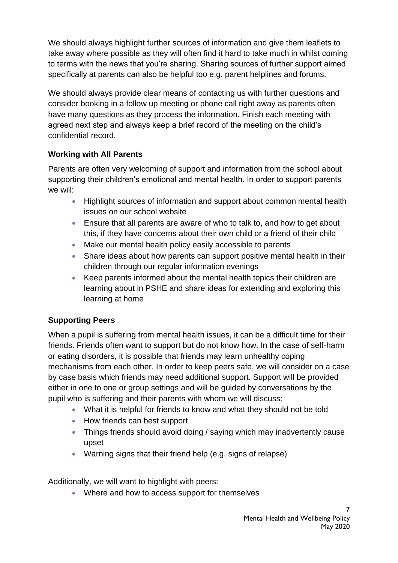$\Omega$ specifically at parents can also be helpful too e.g. parent helplines and forums. We should always highlight further sources of information and give them leaflets to take away where possible as they will often find it hard to take much in whilst coming to terms with the news that you're sharing. Sharing sources of further support aimed

We should always provide clear means of contacting us with further questions and consider booking in a follow up meeting or phone call right away as parents often have many questions as they process the information. Finish each meeting with agreed next step and always keep a brief record of the meeting on the child's confidential record.

## **Working with All Parents**

Parents are often very welcoming of support and information from the school about supporting their children's emotional and mental health. In order to support parents we will:

- Highlight sources of information and support about common mental health issues on our school website
- Ensure that all parents are aware of who to talk to, and how to get about this, if they have concerns about their own child or a friend of their child
- Make our mental health policy easily accessible to parents
- Share ideas about how parents can support positive mental health in their children through our regular information evenings
- Keep parents informed about the mental health topics their children are learning about in PSHE and share ideas for extending and exploring this learning at home

## **Supporting Peers**

When a pupil is suffering from mental health issues, it can be a difficult time for their friends. Friends often want to support but do not know how. In the case of self-harm or eating disorders, it is possible that friends may learn unhealthy coping mechanisms from each other. In order to keep peers safe, we will consider on a case by case basis which friends may need additional support. Support will be provided either in one to one or group settings and will be guided by conversations by the pupil who is suffering and their parents with whom we will discuss:

- What it is helpful for friends to know and what they should not be told
- How friends can best support
- Things friends should avoid doing / saying which may inadvertently cause upset
- Warning signs that their friend help (e.g. signs of relapse)

Additionally, we will want to highlight with peers:

• Where and how to access support for themselves

7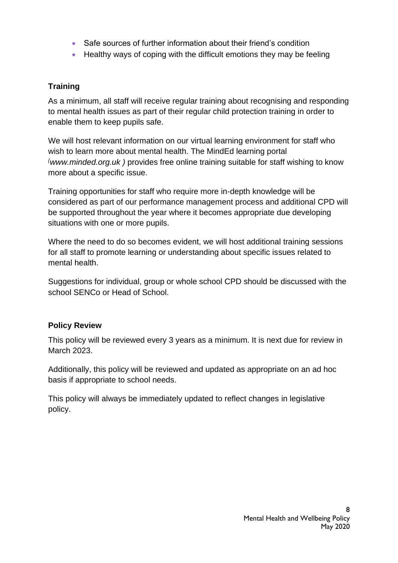- Safe sources of further information about their friend's condition
- Healthy ways of coping with the difficult emotions they may be feeling

## **Training**

As a minimum, all staff will receive regular training about recognising and responding to mental health issues as part of their regular child protection training in order to enable them to keep pupils safe.

We will host relevant information on our virtual learning environment for staff who wish to learn more about mental health. The MindEd learning portal *([www.minded.org.uk](http://www.minded.org.uk/) )* provides free online training suitable for staff wishing to know more about a specific issue.

Training opportunities for staff who require more in-depth knowledge will be considered as part of our performance management process and additional CPD will be supported throughout the year where it becomes appropriate due developing situations with one or more pupils.

Where the need to do so becomes evident, we will host additional training sessions for all staff to promote learning or understanding about specific issues related to mental health.

Suggestions for individual, group or whole school CPD should be discussed with the school SENCo or Head of School.

## **Policy Review**

This policy will be reviewed every 3 years as a minimum. It is next due for review in March 2023.

Additionally, this policy will be reviewed and updated as appropriate on an ad hoc basis if appropriate to school needs.

This policy will always be immediately updated to reflect changes in legislative policy.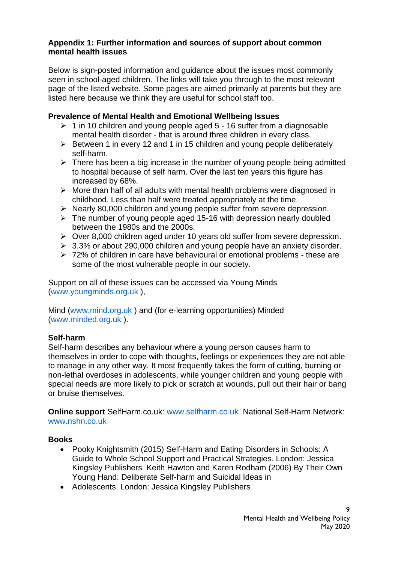#### **Appendix 1: Further information and sources of support about common mental health issues**

Below is sign-posted information and guidance about the issues most commonly seen in school-aged children. The links will take you through to the most relevant page of the listed website. Some pages are aimed primarily at parents but they are listed here because we think they are useful for school staff too.

#### **Prevalence of Mental Health and Emotional Wellbeing Issues**

- $\geq 1$  in 10 children and young people aged 5 16 suffer from a diagnosable mental health disorder - that is around three children in every class.
- ➢ Between 1 in every 12 and 1 in 15 children and young people deliberately self-harm.
- $\triangleright$  There has been a big increase in the number of young people being admitted to hospital because of self harm. Over the last ten years this figure has increased by 68%.
- ➢ More than half of all adults with mental health problems were diagnosed in childhood. Less than half were treated appropriately at the time.
- ➢ Nearly 80,000 children and young people suffer from severe depression.
- $\geq$  The number of young people aged 15-16 with depression nearly doubled between the 1980s and the 2000s.
- ➢ Over 8,000 children aged under 10 years old suffer from severe depression.
- ➢ 3.3% or about 290,000 children and young people have an anxiety disorder.
- ➢ 72% of children in care have behavioural or emotional problems these are some of the most vulnerable people in our society.

Support on all of these issues can be accessed via Young Minds (www.youngminds.org.uk ),

Mind (www.mind.org.uk ) and (for e-learning opportunities) Minded (www.minded.org.uk ).

#### **Self-harm**

Self-harm describes any behaviour where a young person causes harm to themselves in order to cope with thoughts, feelings or experiences they are not able to manage in any other way. It most frequently takes the form of cutting, burning or non-lethal overdoses in adolescents, while younger children and young people with special needs are more likely to pick or scratch at wounds, pull out their hair or bang or bruise themselves.

**Online support** SelfHarm.co.uk: www.selfharm.co.uk National Self-Harm Network: www.nshn.co.uk

#### **Books**

- Pooky Knightsmith (2015) Self-Harm and Eating Disorders in Schools: A Guide to Whole School Support and Practical Strategies. London: Jessica Kingsley Publishers Keith Hawton and Karen Rodham (2006) By Their Own Young Hand: Deliberate Self-harm and Suicidal Ideas in
- Adolescents. London: Jessica Kingsley Publishers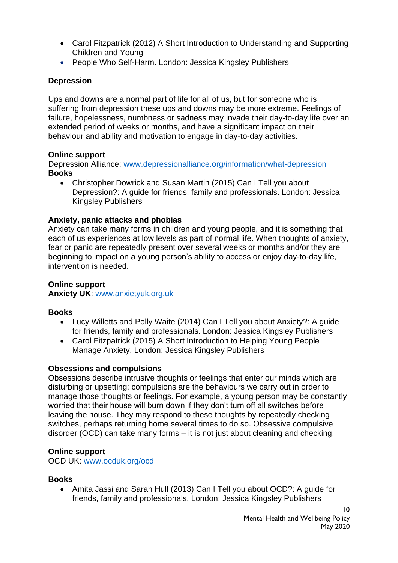- Carol Fitzpatrick (2012) A Short Introduction to Understanding and Supporting Children and Young
- People Who Self-Harm. London: Jessica Kingsley Publishers

## **Depression**

Ups and downs are a normal part of life for all of us, but for someone who is suffering from depression these ups and downs may be more extreme. Feelings of failure, hopelessness, numbness or sadness may invade their day-to-day life over an extended period of weeks or months, and have a significant impact on their behaviour and ability and motivation to engage in day-to-day activities.

#### **Online support**

Depression Alliance: www.depressionalliance.org/information/what-depression **Books**

• Christopher Dowrick and Susan Martin (2015) Can I Tell you about Depression?: A guide for friends, family and professionals. London: Jessica Kingsley Publishers

#### **Anxiety, panic attacks and phobias**

Anxiety can take many forms in children and young people, and it is something that each of us experiences at low levels as part of normal life. When thoughts of anxiety, fear or panic are repeatedly present over several weeks or months and/or they are beginning to impact on a young person's ability to access or enjoy day-to-day life, intervention is needed.

#### **Online support Anxiety UK**: www.anxietyuk.org.uk

#### **Books**

- Lucy Willetts and Polly Waite (2014) Can I Tell you about Anxiety?: A guide for friends, family and professionals. London: Jessica Kingsley Publishers
- Carol Fitzpatrick (2015) A Short Introduction to Helping Young People Manage Anxiety. London: Jessica Kingsley Publishers

#### **Obsessions and compulsions**

Obsessions describe intrusive thoughts or feelings that enter our minds which are disturbing or upsetting; compulsions are the behaviours we carry out in order to manage those thoughts or feelings. For example, a young person may be constantly worried that their house will burn down if they don't turn off all switches before leaving the house. They may respond to these thoughts by repeatedly checking switches, perhaps returning home several times to do so. Obsessive compulsive disorder (OCD) can take many forms – it is not just about cleaning and checking.

#### **Online support**

OCD UK: www.ocduk.org/ocd

#### **Books**

• Amita Jassi and Sarah Hull (2013) Can I Tell you about OCD?: A guide for friends, family and professionals. London: Jessica Kingsley Publishers